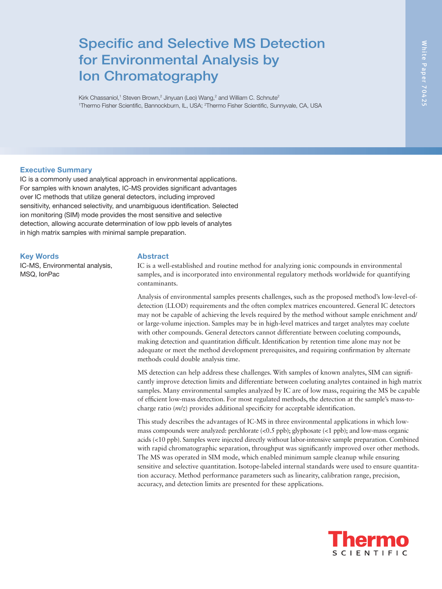# Specific and Selective MS Detection for Environmental Analysis by Ion Chromatography

Kirk Chassaniol,<sup>1</sup> Steven Brown,<sup>2</sup> Jinyuan (Leo) Wang,<sup>2</sup> and William C. Schnute<sup>2</sup> <sup>1</sup>Thermo Fisher Scientific, Bannockburn, IL, USA; <sup>2</sup>Thermo Fisher Scientific, Sunnyvale, CA, USA

## Executive Summary

IC is a commonly used analytical approach in environmental applications. For samples with known analytes, IC-MS provides significant advantages over IC methods that utilize general detectors, including improved sensitivity, enhanced selectivity, and unambiguous identification. Selected ion monitoring (SIM) mode provides the most sensitive and selective detection, allowing accurate determination of low ppb levels of analytes in high matrix samples with minimal sample preparation.

#### Key Words

IC-MS, Environmental analysis, MSQ, IonPac

#### Abstract

IC is a well-established and routine method for analyzing ionic compounds in environmental samples, and is incorporated into environmental regulatory methods worldwide for quantifying contaminants.

Analysis of environmental samples presents challenges, such as the proposed method's low-level-ofdetection (LLOD) requirements and the often complex matrices encountered. General IC detectors may not be capable of achieving the levels required by the method without sample enrichment and/ or large-volume injection. Samples may be in high-level matrices and target analytes may coelute with other compounds. General detectors cannot differentiate between coeluting compounds, making detection and quantitation difficult. Identification by retention time alone may not be adequate or meet the method development prerequisites, and requiring confirmation by alternate methods could double analysis time.

MS detection can help address these challenges. With samples of known analytes, SIM can significantly improve detection limits and differentiate between coeluting analytes contained in high matrix samples. Many environmental samples analyzed by IC are of low mass, requiring the MS be capable of efficient low-mass detection. For most regulated methods, the detection at the sample's mass-tocharge ratio (*m/z*) provides additional specificity for acceptable identification.

This study describes the advantages of IC-MS in three environmental applications in which lowmass compounds were analyzed: perchlorate (<0.5 ppb); glyphosate (<1 ppb); and low-mass organic acids (<10 ppb). Samples were injected directly without labor-intensive sample preparation. Combined with rapid chromatographic separation, throughput was significantly improved over other methods. The MS was operated in SIM mode, which enabled minimum sample cleanup while ensuring sensitive and selective quantitation. Isotope-labeled internal standards were used to ensure quantitation accuracy. Method performance parameters such as linearity, calibration range, precision, accuracy, and detection limits are presented for these applications.

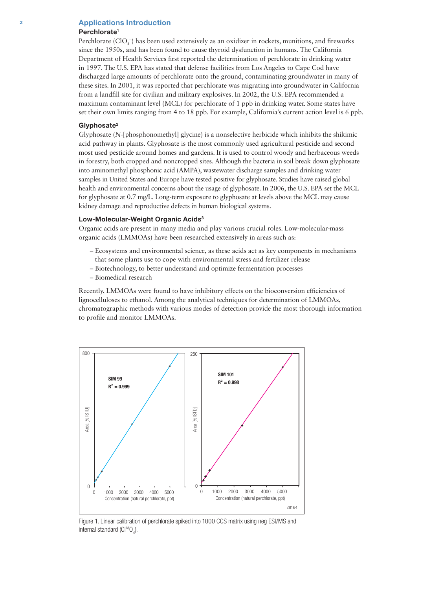#### 2 Applications Introduction

#### Perchlorate<sup>1</sup>

Perchlorate  $(CIO_4^-)$  has been used extensively as an oxidizer in rockets, munitions, and fireworks since the 1950s, and has been found to cause thyroid dysfunction in humans. The California Department of Health Services first reported the determination of perchlorate in drinking water in 1997. The U.S. EPA has stated that defense facilities from Los Angeles to Cape Cod have discharged large amounts of perchlorate onto the ground, contaminating groundwater in many of these sites. In 2001, it was reported that perchlorate was migrating into groundwater in California from a landfill site for civilian and military explosives. In 2002, the U.S. EPA recommended a maximum contaminant level (MCL) for perchlorate of 1 ppb in drinking water. Some states have set their own limits ranging from 4 to 18 ppb. For example, California's current action level is 6 ppb.

#### Glyphosate<sup>2</sup>

Glyphosate (*N*-[phosphonomethyl] glycine) is a nonselective herbicide which inhibits the shikimic acid pathway in plants. Glyphosate is the most commonly used agricultural pesticide and second most used pesticide around homes and gardens. It is used to control woody and herbaceous weeds in forestry, both cropped and noncropped sites. Although the bacteria in soil break down glyphosate into aminomethyl phosphonic acid (AMPA), wastewater discharge samples and drinking water samples in United States and Europe have tested positive for glyphosate. Studies have raised global health and environmental concerns about the usage of glyphosate. In 2006, the U.S. EPA set the MCL for glyphosate at 0.7 mg/L. Long-term exposure to glyphosate at levels above the MCL may cause kidney damage and reproductive defects in human biological systems.

#### Low-Molecular-Weight Organic Acids<sup>3</sup>

Organic acids are present in many media and play various crucial roles. Low-molecular-mass organic acids (LMMOAs) have been researched extensively in areas such as:

- Ecosystems and environmental science, as these acids act as key components in mechanisms that some plants use to cope with environmental stress and fertilizer release
- Biotechnology, to better understand and optimize fermentation processes
- Biomedical research

Recently, LMMOAs were found to have inhibitory effects on the bioconversion efficiencies of lignocelluloses to ethanol. Among the analytical techniques for determination of LMMOAs, chromatographic methods with various modes of detection provide the most thorough information to profile and monitor LMMOAs.



Figure 1. Linear calibration of perchlorate spiked into 1000 CCS matrix using neg ESI/MS and internal standard (Cl<sup>18</sup>O<sub>4</sub>).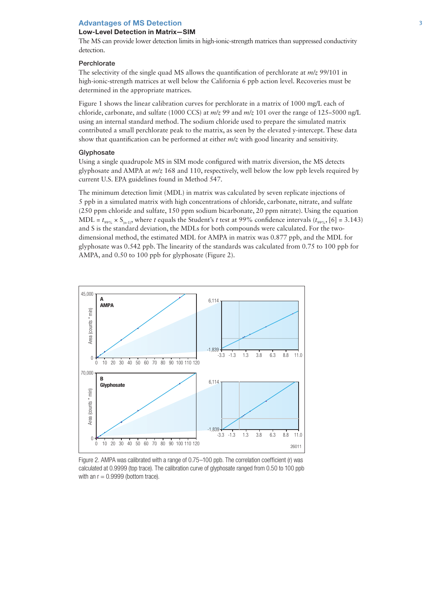# Low-Level Detection in Matrix—SIM

The MS can provide lower detection limits in high-ionic-strength matrices than suppressed conductivity detection.

#### **Perchlorate**

The selectivity of the single quad MS allows the quantification of perchlorate at *m/z* 99/101 in high-ionic-strength matrices at well below the California 6 ppb action level. Recoveries must be determined in the appropriate matrices.

Figure 1 shows the linear calibration curves for perchlorate in a matrix of 1000 mg/L each of chloride, carbonate, and sulfate (1000 CCS) at *m/z* 99 and *m/z* 101 over the range of 125–5000 ng/L using an internal standard method. The sodium chloride used to prepare the simulated matrix contributed a small perchlorate peak to the matrix, as seen by the elevated y-intercept. These data show that quantification can be performed at either *m/z* with good linearity and sensitivity.

#### **Glyphosate**

Using a single quadrupole MS in SIM mode configured with matrix diversion, the MS detects glyphosate and AMPA at *m/z* 168 and 110, respectively, well below the low ppb levels required by current U.S. EPA guidelines found in Method 547.

The minimum detection limit (MDL) in matrix was calculated by seven replicate injections of 5 ppb in a simulated matrix with high concentrations of chloride, carbonate, nitrate, and sulfate (250 ppm chloride and sulfate, 150 ppm sodium bicarbonate, 20 ppm nitrate). Using the equation MDL =  $t_{99\%}$  × S<sub>(n-1)</sub>, where *t* equals the Student's *t* test at 99% confidence intervals ( $t_{99\%}$ , [6] = 3.143) and S is the standard deviation, the MDLs for both compounds were calculated. For the twodimensional method, the estimated MDL for AMPA in matrix was 0.877 ppb, and the MDL for glyphosate was 0.542 ppb. The linearity of the standards was calculated from 0.75 to 100 ppb for AMPA, and 0.50 to 100 ppb for glyphosate (Figure 2).



Figure 2. AMPA was calibrated with a range of 0.75–100 ppb. The correlation coefficient (r) was calculated at 0.9999 (top trace). The calibration curve of glyphosate ranged from 0.50 to 100 ppb with an  $r = 0.9999$  (bottom trace).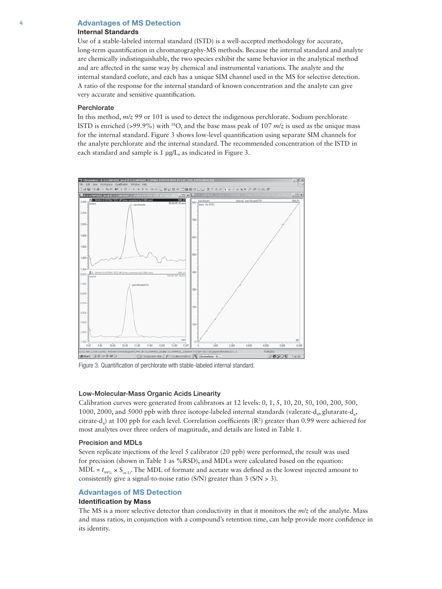# Internal Standards

Use of a stable-labeled internal standard (ISTD) is a well-accepted methodology for accurate, long-term quantification in chromatography-MS methods. Because the internal standard and analyte are chemically indistinguishable, the two species exhibit the same behavior in the analytical method and are affected in the same way by chemical and instrumental variations. The analyte and the internal standard coelute, and each has a unique SIM channel used in the MS for selective detection. A ratio of the response for the internal standard of known concentration and the analyte can give very accurate and sensitive quantification.

#### **Perchlorate**

In this method, *m/z* 99 or 101 is used to detect the indigenous perchlorate. Sodium perchlorate ISTD is enriched (>99.9%) with 18O, and the base mass peak of 107 *m/z* is used as the unique mass for the internal standard. Figure 3 shows low-level quantification using separate SIM channels for the analyte perchlorate and the internal standard. The recommended concentration of the ISTD in each standard and sample is 1 μg/L, as indicated in Figure 3.



Figure 3. Quantification of perchlorate with stable-labeled internal standard.

#### Low-Molecular-Mass Organic Acids Linearity

Calibration curves were generated from calibrators at 12 levels: 0, 1, 5, 10, 20, 50, 100, 200, 500, 1000, 2000, and 5000 ppb with three isotope-labeled internal standards (valerate-d<sub>9</sub>, glutarate-d<sub>6</sub>, citrate-d<sub>4</sub>) at 100 ppb for each level. Correlation coefficients (R<sup>2</sup>) greater than 0.99 were achieved for most analytes over three orders of magnitude, and details are listed in Table 1.

#### Precision and MDLs

Seven replicate injections of the level 5 calibrator (20 ppb) were performed, the result was used for precision (shown in Table 1 as %RSD), and MDLs were calculated based on the equation:  $MDL = t_{99\%} \times S_{(n-1)}$ . The MDL of formate and acetate was defined as the lowest injected amount to consistently give a signal-to-noise ratio (S/N) greater than 3 (S/N > 3).

#### Advantages of MS Detection

# Identification by Mass

The MS is a more selective detector than conductivity in that it monitors the *m/z* of the analyte. Mass and mass ratios, in conjunction with a compound's retention time, can help provide more confidence in its identity.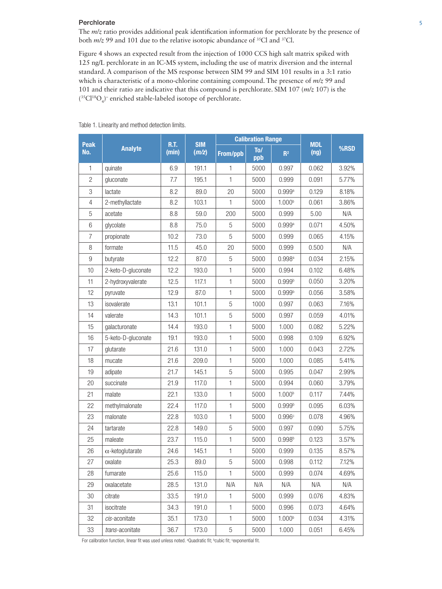# **Perchlorate** 5 5 5 5 5 6 7 7 7 8 7 7 7 7 8 7 7 7 7 8 7 7 7 7 8 7 7 7 8 7 7 7 7 8 7 7 7 7 8 7 7 7 7 8 7 7 7 7 7 8 7 7 7 7 8 7 7 7 8 7 7 8 7 7 8 7 7 8 7 7 8 7 7 8 7 7 8 7 7 8 7 7 8 7 7 8 7 7 8 7 7 8 7 7 8 7 7 8 7 8 7 7 8 7

The *m/z* ratio provides additional peak identification information for perchlorate by the presence of both  $m/z$  99 and 101 due to the relative isotopic abundance of <sup>35</sup>Cl and <sup>37</sup>Cl.

Figure 4 shows an expected result from the injection of 1000 CCS high salt matrix spiked with 125 ng/L perchlorate in an IC-MS system, including the use of matrix diversion and the internal standard. A comparison of the MS response between SIM 99 and SIM 101 results in a 3:1 ratio which is characteristic of a mono-chlorine containing compound. The presence of *m/z* 99 and 101 and their ratio are indicative that this compound is perchlorate. SIM 107 (*m/z* 107) is the  $(^{35}Cl^{18}O_4)$ <sup>-</sup> enriched stable-labeled isotope of perchlorate.

| Peak           | <b>Analyte</b>          | R.T.<br>(min) | <b>SIM</b><br>(m/z) | <b>Calibration Range</b> |            |                      | <b>MDL</b> |       |
|----------------|-------------------------|---------------|---------------------|--------------------------|------------|----------------------|------------|-------|
| No.            |                         |               |                     | <b>From/ppb</b>          | To/<br>ppb | R <sup>2</sup>       | (ng)       | %RSD  |
| 1              | quinate                 | 6.9           | 191.1               | $\mathbf{1}$             | 5000       | 0.997                | 0.062      | 3.92% |
| $\overline{2}$ | gluconate               | 7.7           | 195.1               | $\mathbf{1}$             | 5000       | 0.999                | 0.091      | 5.77% |
| 3              | lactate                 | 8.2           | 89.0                | 20                       | 5000       | $0.999$ <sup>a</sup> | 0.129      | 8.18% |
| $\overline{4}$ | 2-methyllactate         | 8.2           | 103.1               | 1                        | 5000       | 1.000 <sup>b</sup>   | 0.061      | 3.86% |
| 5              | acetate                 | 8.8           | 59.0                | 200                      | 5000       | 0.999                | 5.00       | N/A   |
| $\,6\,$        | glycolate               | 8.8           | 75.0                | 5                        | 5000       | $0.999$ <sup>a</sup> | 0.071      | 4.50% |
| $\overline{7}$ | propionate              | 10.2          | 73.0                | 5                        | 5000       | 0.999                | 0.065      | 4.15% |
| 8              | formate                 | 11.5          | 45.0                | 20                       | 5000       | 0.999                | 0.500      | N/A   |
| 9              | butyrate                | 12.2          | 87.0                | $\sqrt{5}$               | 5000       | $0.998$ <sup>a</sup> | 0.034      | 2.15% |
| 10             | 2-keto-D-gluconate      | 12.2          | 193.0               | $\mathbf{1}$             | 5000       | 0.994                | 0.102      | 6.48% |
| 11             | 2-hydroxyvalerate       | 12.5          | 117.1               | $\mathbf{1}$             | 5000       | 0.999 <sup>b</sup>   | 0.050      | 3.20% |
| 12             | pyruvate                | 12.9          | 87.0                | $\mathbf{1}$             | 5000       | $0.999^{b}$          | 0.056      | 3.58% |
| 13             | isovalerate             | 13.1          | 101.1               | 5                        | 1000       | 0.997                | 0.063      | 7.16% |
| 14             | valerate                | 14.3          | 101.1               | 5                        | 5000       | 0.997                | 0.059      | 4.01% |
| 15             | galacturonate           | 14.4          | 193.0               | $\mathbf{1}$             | 5000       | 1.000                | 0.082      | 5.22% |
| 16             | 5-keto-D-gluconate      | 19.1          | 193.0               | $\mathbf{1}$             | 5000       | 0.998                | 0.109      | 6.92% |
| 17             | glutarate               | 21.6          | 131.0               | $\mathbf{1}$             | 5000       | 1.000                | 0.043      | 2.72% |
| 18             | mucate                  | 21.6          | 209.0               | $\mathbf{1}$             | 5000       | 1.000                | 0.085      | 5.41% |
| 19             | adipate                 | 21.7          | 145.1               | 5                        | 5000       | 0.995                | 0.047      | 2.99% |
| 20             | succinate               | 21.9          | 117.0               | $\mathbf{1}$             | 5000       | 0.994                | 0.060      | 3.79% |
| 21             | malate                  | 22.1          | 133.0               | $\mathbf{1}$             | 5000       | 1.000 <sup>b</sup>   | 0.117      | 7.44% |
| 22             | methylmalonate          | 22.4          | 117.0               | $\mathbf{1}$             | 5000       | 0.999 <sup>b</sup>   | 0.095      | 6.03% |
| 23             | malonate                | 22.8          | 103.0               | $\mathbf{1}$             | 5000       | 0.996c               | 0.078      | 4.96% |
| 24             | tartarate               | 22.8          | 149.0               | $\sqrt{5}$               | 5000       | 0.997                | 0.090      | 5.75% |
| 25             | maleate                 | 23.7          | 115.0               | $\mathbf{1}$             | 5000       | $0.998^{b}$          | 0.123      | 3.57% |
| 26             | $\alpha$ -ketoglutarate | 24.6          | 145.1               | $\mathbf{1}$             | 5000       | 0.999                | 0.135      | 8.57% |
| 27             | oxalate                 | 25.3          | 89.0                | 5                        | 5000       | 0.998                | 0.112      | 7.12% |
| 28             | fumarate                | 25.6          | 115.0               | $\mathbf{1}$             | 5000       | 0.999                | 0.074      | 4.69% |
| 29             | oxalacetate             | 28.5          | 131.0               | N/A                      | N/A        | N/A                  | N/A        | N/A   |
| 30             | citrate                 | 33.5          | 191.0               | $\mathbf{1}$             | 5000       | 0.999                | 0.076      | 4.83% |
| 31             | isocitrate              | 34.3          | 191.0               | $\mathbf{1}$             | 5000       | 0.996                | 0.073      | 4.64% |
| 32             | cis-aconitate           | 35.1          | 173.0               | $\mathbf{1}$             | 5000       | 1.000 <sup>b</sup>   | 0.034      | 4.31% |
| 33             | trans-aconitate         | 36.7          | 173.0               | $\mathbf 5$              | 5000       | 1.000                | 0.051      | 6.45% |

Table 1. Linearity and method detection limits.

For calibration function, linear fit was used unless noted. <sup>a</sup>Quadratic fit; bcubic fit; bexponential fit.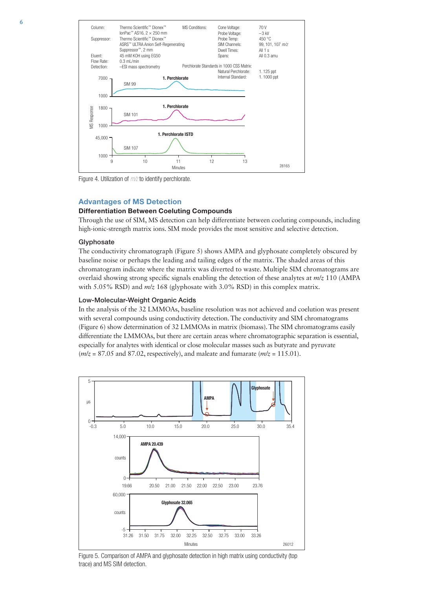

Figure 4. Utilization of *m/z* to identify perchlorate.

#### Differentiation Between Coeluting Compounds

Through the use of SIM, MS detection can help differentiate between coeluting compounds, including high-ionic-strength matrix ions. SIM mode provides the most sensitive and selective detection.

#### Glyphosate

The conductivity chromatograph (Figure 5) shows AMPA and glyphosate completely obscured by baseline noise or perhaps the leading and tailing edges of the matrix. The shaded areas of this chromatogram indicate where the matrix was diverted to waste. Multiple SIM chromatograms are overlaid showing strong specific signals enabling the detection of these analytes at *m/z* 110 (AMPA with 5.05% RSD) and *m/z* 168 (glyphosate with 3.0% RSD) in this complex matrix.

#### Low-Molecular-Weight Organic Acids

In the analysis of the 32 LMMOAs, baseline resolution was not achieved and coelution was present with several compounds using conductivity detection. The conductivity and SIM chromatograms (Figure 6) show determination of 32 LMMOAs in matrix (biomass). The SIM chromatograms easily differentiate the LMMOAs, but there are certain areas where chromatographic separation is essential, especially for analytes with identical or close molecular masses such as butyrate and pyruvate (*m/z* = 87.05 and 87.02, respectively), and maleate and fumarate (*m/z* = 115.01).



Figure 5. Comparison of AMPA and glyphosate detection in high matrix using conductivity (top trace) and MS SIM detection.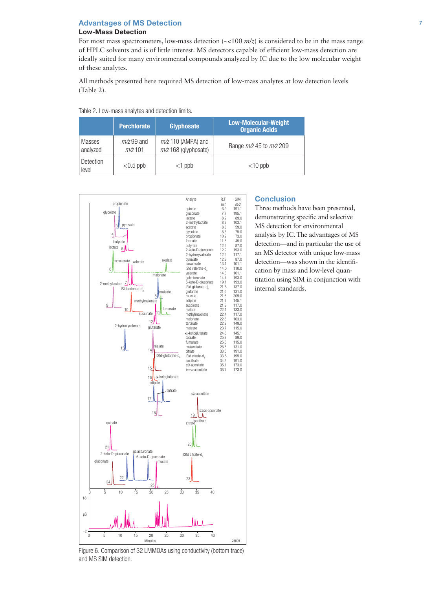Table 2. Low-mass analytes and detection limits.

# Low-Mass Detection

For most mass spectrometers, low-mass detection  $\left(\sim100 \frac{m}{z}\right)$  is considered to be in the mass range of HPLC solvents and is of little interest. MS detectors capable of efficient low-mass detection are ideally suited for many environmental compounds analyzed by IC due to the low molecular weight of these analytes.

All methods presented here required MS detection of low-mass analytes at low detection levels (Table 2).

|                    | <b>Perchlorate</b>        | Glyphosate                                     | <b>Low-Molecular-Weight</b><br><b>Organic Acids</b> |
|--------------------|---------------------------|------------------------------------------------|-----------------------------------------------------|
| Masses<br>analyzed | $m/z$ 99 and<br>$m/z$ 101 | $m/z$ 110 (AMPA) and<br>$m/z$ 168 (glyphosate) | Range $m/z$ 45 to $m/z$ 209                         |
| Detection<br>level | $<$ 0.5 ppb               | $<$ 1 ppb                                      | $<$ 10 ppb                                          |



#### **Conclusion**

Three methods have been presented, demonstrating specific and selective MS detection for environmental analysis by IC. The advantages of MS detection—and in particular the use of an MS detector with unique low-mass detection—was shown in the identification by mass and low-level quantitation using SIM in conjunction with internal standards.

Figure 6. Comparison of 32 LMMOAs using conductivity (bottom trace) and MS SIM detection.